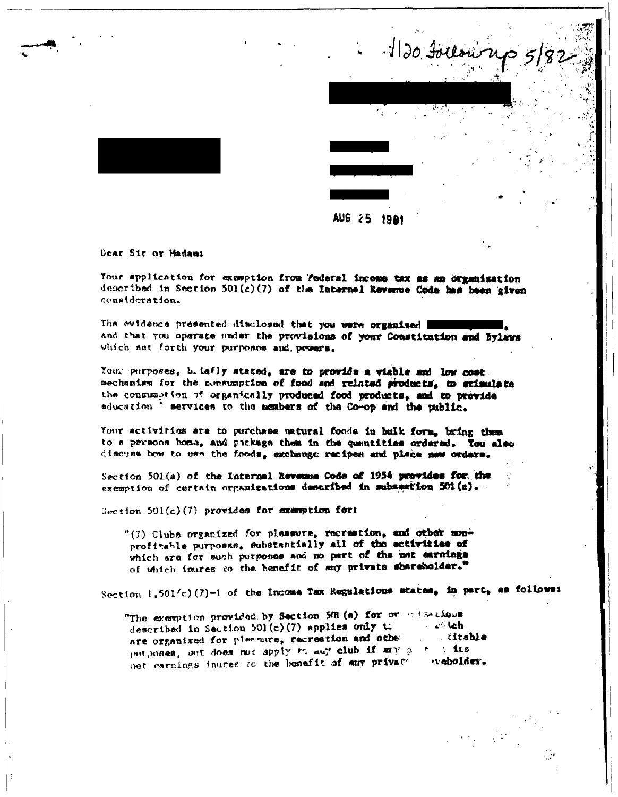

**AUG 25 1981** 

Dear Sir or Madami

Your application for exemption from 'federal income tax as an organisation departbed in Section 501(c)(7) of the Internal Revenue Code has been given consideration.

The evidence presented disclosed that you were organised and that you operate under the provisions of your Constitution and Bylaws which set forth your purposes and presers.

Your purposes, b. iafly stated, are to provide a viable and low cost. mechanism for the consumption of food and related products, to stimulate the consumption of organically produced food products, and to provide education ' services to the members of the Co-op and the public.

Your activities are to purchase matural foods in bulk form, bring them to a parsons home, and pickage them in the quantities ordered. Tou also discuss how to use the foods, exchange recipes and place now orders.

Section 501(a) of the Internal Revenue Code of 1954 provides for the exemption of certain organizations described in subsection 501(c).

 $Section 501(c)(7)$  provides for examption for:

"(7) Clubs organized for pleasure, recreation, and other nonprofitable purposss, substantially all of the activities of which are for such purposes and no part of the not earnings of which inures to the benefit of may private shareholder."

Section 1.501/c)(7)-1 of the Income Tax Regulations states, in part, as follows:

"The exemption provided by Section 501 (a) for or wirelious described in Section 501(c)(7) applies only to  $\sim$   $\sim$  leb are organized for pleasure, recreation and other . čitable put poses, out does not apply to any club if my a +  $\therefore$  its net earnings inures to the bonafit of any private *reholder.*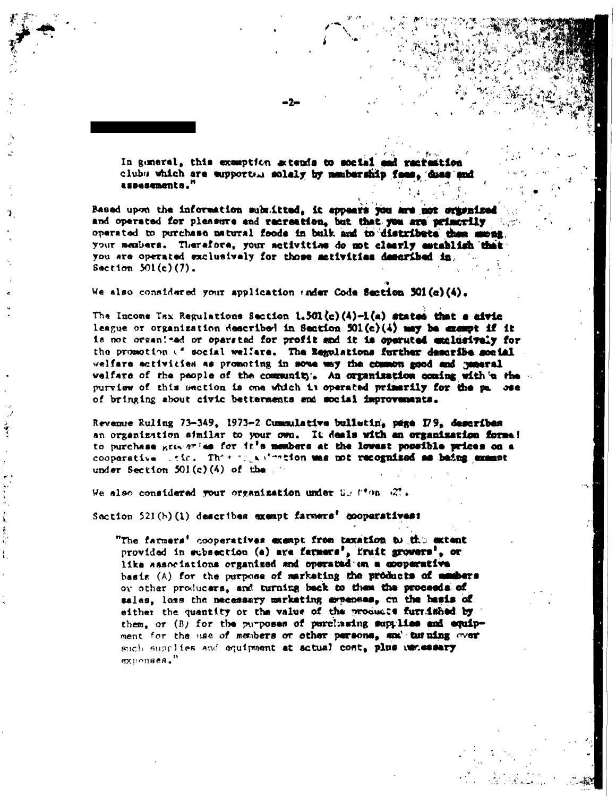In general, this exemption artends to social and racrestion clubs which are supported solaly by membership fees, dues an assessments."

Based upon the information submitted, it appears you are not originized and operated for pleasure and recreation, but that you are primorily operated to purchase natural foods in bulk and to distribute them muont. your members. Therefore, your setivities do not clearly establish that you are operated exclusively for those metivities described in. Section  $501(c)(7)$ .

We also considered your application under Code Section 501(a)(4).

The Income Tax Regulations Section 1.501(c)(4)-1(a) states that a sivic league or organization described in Section  $501(c)(4)$  may be exempt if it is not organized or opersted for profit and it is operated exclusively for the promotion of social welfare. The Regulations further describe social welfare activities as promoting in some way the common good and general velfare of the people of the community. An organization coming with a the purview of this section is one which is operated primarily for the pa. see of bringing about civic betternents and social improvements.

Revenue Ruling 73-349, 1973-2 Cummulative bulletin, page 179, describes an organization similar to your own. It deals with an organization forme! to purchase groups for the members at the lowest possible prices on a cooperative side. This may winner on was not recognized as baing example under Section  $501(c)(4)$  of the

We also considered your organization under Sulfion 27.

Section 521(h)(1) describes exempt farmers' cooperatives:

"The farmers' cooperatives exempt from taxation to the extent provided in subsection (a) are farmers', fruit growers', or like associations organized and operated on a cooperative basis (A) for the purpose of marketing the products of manbers or other producers, and turning back to them the proceeds of sales, loss the necessary marketing evenues, on the basis of either the quantity or the value of the products furnished by them, or (B) for the purposes of purchasing supplies and equipment for the use of members or other persons, and turning over such supplies and equipment at actual cost, plus wenessary expenses."